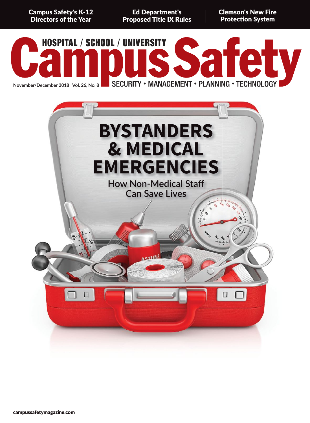**Campus Safety's K-12 Directors of the Year** 

**Ed Department's Proposed Title IX Rules**  **Clemson's New Fire Protection System** 



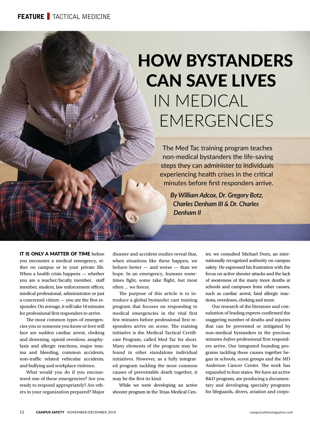# HOW BYSTANDERS CAN SAVE LIVES IN MEDICAL EMERGENCIES

The Med Tac training program teaches non-medical bystanders the life-saving steps they can administer to individuals experiencing health crises in the critical minutes before first responders arrive.

*By William Adcox, Dr. Gregory Botz, Charles Denham III & Dr. Charles Denham II*

IT IS ONLY A MATTER OF TIME before you encounter a medical emergency, either on campus or in your private life. When a health crisis happens — whether you are a teacher/faculty member, staff member, student, law enforcement officer, medical professional, administrator or just a concerned citizen  $-$  you are the first responder. On average, it will take 10 minutes for professional first responders to arrive.

The most common types of emergencies you or someone you know or love will face are sudden cardiac arrest, choking and drowning, opioid overdose, anaphylaxis and allergic reactions, major trauma and bleeding, common accidents, non-traffic related vehicular accidents, and bullying and workplace violence.

What would you do if you encountered one of these emergencies? Are you ready to respond appropriately? Are others in your organization prepared? Major

disaster and accident studies reveal that, when situations like these happen, we behave better — and worse — than we hope. In an emergency, humans sometimes fight, some take flight, but most often … we freeze.

The purpose of this article is to introduce a global bystander care training program that focuses on responding to medical emergencies in the vital first few minutes before professional first responders arrive on scene. The training initiative is the Medical Tactical Certificate Program, called Med Tac for short. Many elements of the program may be found in other standalone individual initiatives. However, as a fully integrated program tackling the most common causes of preventable death together, it may be the first its kind.

While we were developing an active shooter program in the Texas Medical Center, we consulted Michael Dorn, an internationally recognized authority on campus safety. He expressed his frustration with the focus on active shooter attacks and the lack of awareness of the many more deaths at schools and campuses from other causes, such as cardiac arrest, fatal allergic reactions, overdoses, choking and more.

Our research of the literature and consultation of leading experts confirmed the staggering number of deaths and injuries that can be prevented or mitigated by non-medical bystanders in the precious minutes *before* professional first responders arrive. Our integrated founding programs tackling these causes together began in schools, scout groups and the MD Anderson Cancer Center. The work has expanded to four states. We have an active R&D program, are producing a documentary and developing specialty programs for lifeguards, divers, aviation and corpo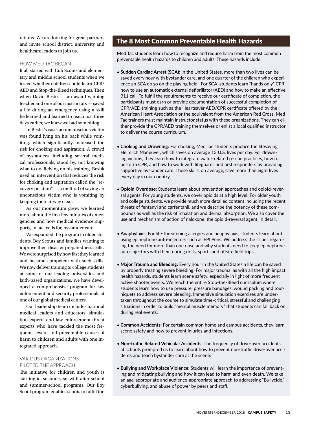rations. We are looking for great partners and invite school district, university and healthcare leaders to join us.

#### HOW MED TAC BEGAN

It all started with Cub Scouts and elementary and middle school students when we tested whether children could learn CPR/ AED and Stop-the-Bleed techniques. Then when David Beshk — an award-winning teacher and one of our instructors — saved a life during an emergency using a skill he learned and learned to teach just three days earlier, we knew we had something.

In Beshk's case, an unconscious victim was found lying on his back while vomiting, which significantly increased the risk for choking and aspiration. A crowd of bystanders, including several medical professionals, stood by, not knowing what to do. Relying on his training, Beshk used an intervention that reduces the risk for choking and aspiration called the "recovery position" — a method of saving an unconscious victim who is vomiting by keeping their airway clear.

As our momentum grew, we learned more about the first few minutes of emergencies and how medical evidence supports, in fact calls for, bystander care.

We expanded the program to older students, Boy Scouts and families wanting to improve their disaster preparedness skills. We were surprised by how fast they learned and became competent with such skills. We now deliver training to college students at some of our leading universities and faith-based organizations. We have developed a comprehensive program for law enforcement and security professionals at one of our global medical centers.

Our leadership team includes national medical leaders and educators, simulation experts and law enforcement threat experts who have tackled the most frequent, severe and preventable causes of harm to children and adults with one integrated approach.

## VARIOUS ORGANIZATIONS PILOTED THE APPROACH

The initiative for children and youth is starting its second year with after-school and summer-school programs. Our Boy Scout program enables scouts to fulfill the

## The 8 Most Common Preventable Health Hazards

Med Tac students learn how to recognize and reduce harm from the most common preventable health hazards to children and adults. These hazards include:

- ◆ **Sudden Cardiac Arrest (SCA):** In the United States, more than two lives can be saved every hour with bystander care, and one quarter of the children who experience an SCA do so on the playing field. For SCA, students learn "hands only" CPR, how to use an automatic external defibrillator (AED) and how to make an effective 911 call. To fulfill the requirements to receive our certificate of completion, the participants must earn or provide documentation of successful completion of CPR/AED training such as the Heartsaver AED/CPR certificate offered by the American Heart Association or the equivalent from the American Red Cross. Med Tac trainers must maintain instructor status with these organizations. They can either provide the CPR/AED training themselves or enlist a local qualified instructor to deliver the course curriculum.
- ◆ **Choking and Drowning:** For choking, Med Tac students practice the lifesaving Heimlich Maneuver, which saves on average 13 U.S. lives per day. For drowning victims, they learn how to integrate water-related rescue practices, how to perform CPR, and how to work with lifeguards and first responders by providing supportive bystander care. These skills, on average, save more than eight lives every day in our country.
- **◆ Opioid Overdose:** Students learn about prevention approaches and opioid-reversal agents. For young students, we cover opioids at a high level. For older youth and college students, we provide much more detailed content including the recent threats of fentanyl and carfentanil, and we describe the potency of these compounds as well as the risk of inhalation and dermal absorption. We also cover the use and mechanism of action of naloxone, the opioid-reversal agent, in detail.
- ◆ **Anaphylaxis:** For life-threatening allergies and anaphylaxis, students learn about using epinephrine auto-injectors such as EPI Pens. We address the issues regarding the need for more than one dose and why students need to keep epinephrine auto-injectors with them during drills, sports and offsite field trips.
- ◆ **Major Trauma and Bleeding:** Every hour in the United States a life can be saved by properly treating severe bleeding. For major trauma, as with all the high impact health hazards, students learn scene safety, especially in light of more frequent active shooter events. We teach the entire Stop-the-Bleed curriculum where students learn how to use pressure, pressure bandages, wound packing and tourniquets to address severe bleeding. Immersive simulation exercises are undertaken throughout the course to simulate time-critical, stressful and challenging situations in order to build "mental muscle memory" that students can fall back on during real events.
- ◆ **Common Accidents:** For certain common home and campus accidents, they learn scene safety and how to prevent injuries and infections.
- ◆ **Non-traffic Related Vehicular Accidents:** The frequency of drive-over accidents at schools prompted us to learn about how to prevent non-traffic drive-over accidents and teach bystander care at the scene.
- ◆ **Bullying and Workplace Violence:** Students will learn the importance of preventing and mitigating bullying and how it can lead to harm and even death. We take an age-appropriate and audience-appropriate approach to addressing "Bullycide," cyberbullying, and abuse of power by peers and staff.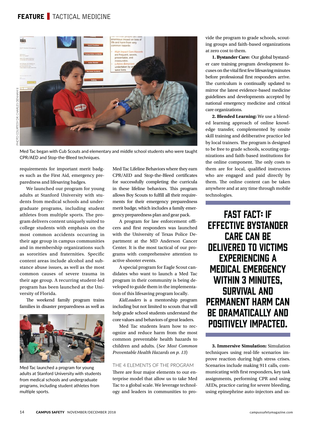# **FEATURE** TACTICAL MEDICINE



Med Tac began with Cub Scouts and elementary and middle school students who were taught CPR/AED and Stop-the-Bleed techniques.

requirements for important merit badges such as the First Aid, emergency preparedness and lifesaving badges.

We launched our program for young adults at Stanford University with students from medical schools and undergraduate programs, including student athletes from multiple sports. The program delivers content uniquely suited to college students with emphasis on the most common accidents occurring in their age group in campus communities and in membership organizations such as sororities and fraternities. Specific content areas include alcohol and substance abuse issues, as well as the most common causes of severe trauma in their age group. A recurring student-led program has been launched at the University of Florida.

The weekend family program trains families in disaster preparedness as well as



Med Tac launched a program for young adults at Stanford University with students from medical schools and undergraduate programs, including student athletes from multiple sports.

Med Tac Lifeline Behaviors where they earn CPR/AED and Stop-the-Bleed certificates for successfully completing the curricula in these lifeline behaviors. This program allows Boy Scouts to fulfill all their requirements for their emergency preparedness merit badge, which includes a family emergency preparedness plan and gear pack.

A program for law enforcement officers and first responders was launched with the University of Texas Police Department at the MD Anderson Cancer Center. It is the most tactical of our programs with comprehensive attention to active shooter events.

A special program for Eagle Scout candidates who want to launch a Med Tac program in their community is being developed to guide them in the implementation of this lifesaving program locally.

*KidLeaders* is a mentorship program including but not limited to scouts that will help grade school students understand the core values and behaviors of great leaders.

Med Tac students learn how to recognize and reduce harm from the most common preventable health hazards to children and adults. (*See Most Common Preventable Health Hazards on p. 13*)

## THE 4 ELEMENTS OF THE PROGRAM

There are four major elements to our enterprise model that allow us to take Med Tac to a global scale. We leverage technology and leaders in communities to provide the program to grade schools, scouting groups and faith-based organizations at zero cost to them.

**1. Bystander Care:** Our global bystander care training program development focuses on the vital first few lifesaving minutes before professional first responders arrive. The curriculum is continually updated to mirror the latest evidence-based medicine guidelines and developments accepted by national emergency medicine and critical care organizations.

**2. Blended Learning:** We use a blended learning approach of online knowledge transfer, complemented by onsite skill training and deliberative practice led by local trainers. The program is designed to be free to grade schools, scouting organizations and faith-based institutions for the online component. The only costs to them are for local, qualified instructors who are engaged and paid directly by them. The online content can be taken anywhere and at any time through mobile technologies.

Fast Fact: If effective bystander care can be delivered to victims experiencing a medical emergency WITHIN 3 MINUTES. survival and permanent harm can BE DRAMATICALLY AND positively impacted.

**3. Immersive Simulation:** Simulation techniques using real-life scenarios improve reaction during high stress crises. Scenarios include making 911 calls, communicating with first responders, key task assignments, performing CPR and using AEDs, practice caring for severe bleeding, using epinephrine auto-injectors and us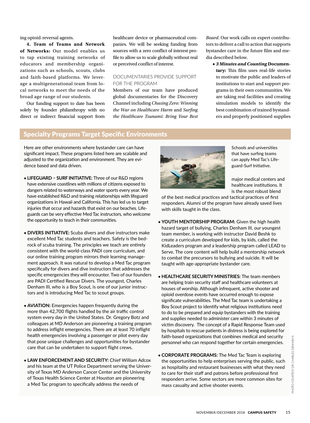ing opioid-reversal agents.

**4. Team of Teams and Network of Networks:** Our model enables us to tap existing training networks of educators and membership organizations such as schools, scouts, clubs and faith-based platforms. We leverage a multigenerational team from local networks to meet the needs of the broad age range of our students.

Our funding support to date has been solely by founder philanthropy with no direct or indirect financial support from healthcare device or pharmaceutical companies. We will be seeking funding from sources with a zero conflict of interest profile to allow us to scale globally without real or perceived conflict of interest.

## DOCUMENTARIES PROVIDE SUPPORT FOR THE PROGRAM

Members of our team have produced global documentaries for the Discovery Channel including *Chasing Zero: Winning the War on Healthcare Harm* and *Surfing the Healthcare Tsunami: Bring Your Best*

*Board*. Our work calls on expert contributors to deliver a call to action that supports bystander care in the future film and media described below.

◆ *3 Minutes and Counting* **Documentary:** This film uses real-life stories to motivate the public and leaders of institutions to start and support programs in their own communities. We are taking real facilities and creating simulation models to identify the best combination of trained bystanders and properly positioned supplies

## Specialty Programs Target Specific Environments

Here are other environments where bystander care can have significant impact. These programs listed here are scalable and adjusted to the organization and environment. They are evidence based and data driven.

- ◆ **LIFEGUARD SURF INITIATIVE:** Three of our R&D regions have extensive coastlines with millions of citizens exposed to dangers related to waterways and water sports every year. We have established R&D and training relationships with lifeguard organizations in Hawaii and California. This has led us to target injuries that occur and hazards that exist on our beaches. Lifeguards can be very effective Med Tac instructors, who welcome the opportunity to teach in their communities.
- ◆ **DIVERS INITIATIVE:** Scuba divers and dive instructors make excellent Med Tac students and teachers. Safety is the bedrock of scuba training. The principles we teach are entirely consistent with the world-class PADI core curriculum, and our online training program mirrors their learning management approach. It was natural to develop a Med Tac program specifically for divers and dive instructors that addresses the specific emergencies they will encounter. Two of our founders are PADI Certified Rescue Divers. The youngest, Charles Denham III, who is a Boy Scout, is one of our junior instructors and is introducing Med Tac to scout groups.
- ◆ **AVIATION:** Emergencies happen frequently during the more than 42,700 flights handled by the air traffic control system every day in the United States. Dr. Gregory Botz and colleagues at MD Anderson are pioneering a training program to address inflight emergencies. There are at least 70 inflight health emergencies involving a passenger or pilot every day that pose unique challenges and opportunities for bystander care that can be undertaken to support flight crews.
- ◆ **LAW ENFORCEMENT AND SECURITY:** Chief William Adcox and his team at the UT Police Department serving the University of Texas MD Anderson Cancer Center and the University of Texas Health Science Center at Houston are pioneering a Med Tac program to specifically address the needs of



Schools and universities that have surfing teams can apply Med Tac's Lifeguard-Surf Initiative.

major medical centers and healthcare institutions. It is the most robust blend

of the best medical practices and tactical practices of first responders. Alumni of the program have already saved lives with skills taught in the class.

- ◆ **YOUTH MENTORSHIP PROGRAM:** Given the high health hazard target of bullying, Charles Denham III, our youngest team member, is working with instructor David Beshk to create a curriculum developed for kids, by kids, called the KidLeaders program and a leadership program called LEAD to Serve. The core content will help build a mentorship network to combat the precursors to bullying and suicide. It will be taught with age-appropriate bystander care.
- ◆ **HEALTHCARE SECURITY MINISTRIES:** The team members are helping train security staff and healthcare volunteers at houses of worship. Although infrequent, active shooter and opioid overdose events have occurred enough to expose significate vulnerabilities. The Med Tac team is undertaking a Boy Scout project to identify what religious institutions need to do to be prepared and equip bystanders with the training and supplies needed to administer care within 3 minutes of victim discovery. The concept of a Rapid Response Team used by hospitals to rescue patients in distress is being explored for faith-based organizations that combines medical and security personnel who can respond together for certain emergencies.
- ◆ **CORPORATE PROGRAMS:** The Med Tac Team is exploring the opportunities to help enterprises serving the public, such as hospitality and restaurant businesses with what they need to care for their staff and patrons before professional first responders arrive. Some sectors are more common sites for mass casualty and active shooter events.